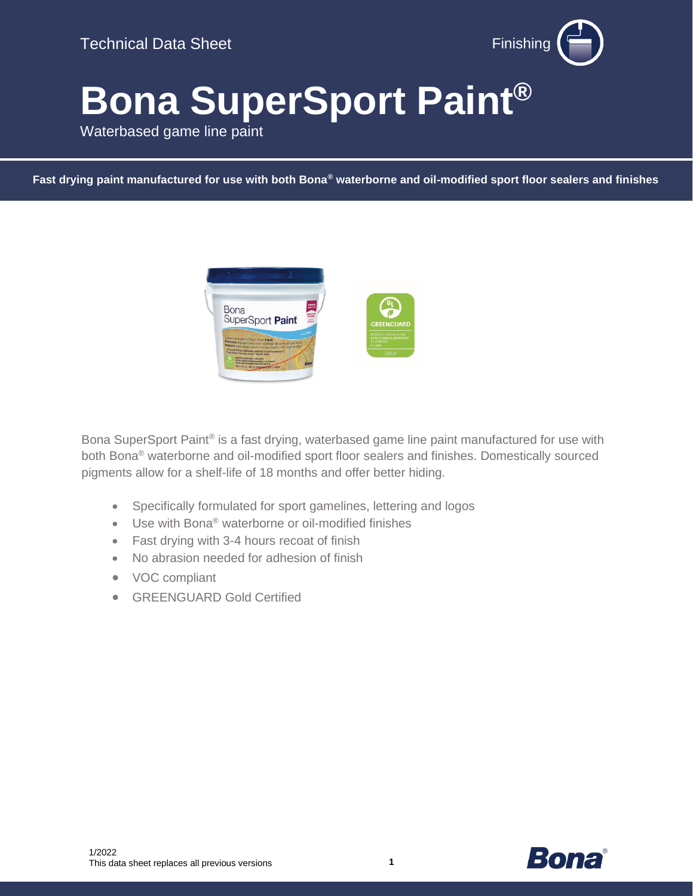

# **Bona SuperSport Paint®**

Waterbased game line paint

**Fast drying paint manufactured for use with both Bona® waterborne and oil-modified sport floor sealers and finishes**



Bona SuperSport Paint® is a fast drying, waterbased game line paint manufactured for use with both Bona® waterborne and oil-modified sport floor sealers and finishes. Domestically sourced pigments allow for a shelf-life of 18 months and offer better hiding.

- Specifically formulated for sport gamelines, lettering and logos
- Use with Bona® waterborne or oil-modified finishes
- Fast drying with 3-4 hours recoat of finish
- No abrasion needed for adhesion of finish
- VOC compliant
- GREENGUARD Gold Certified

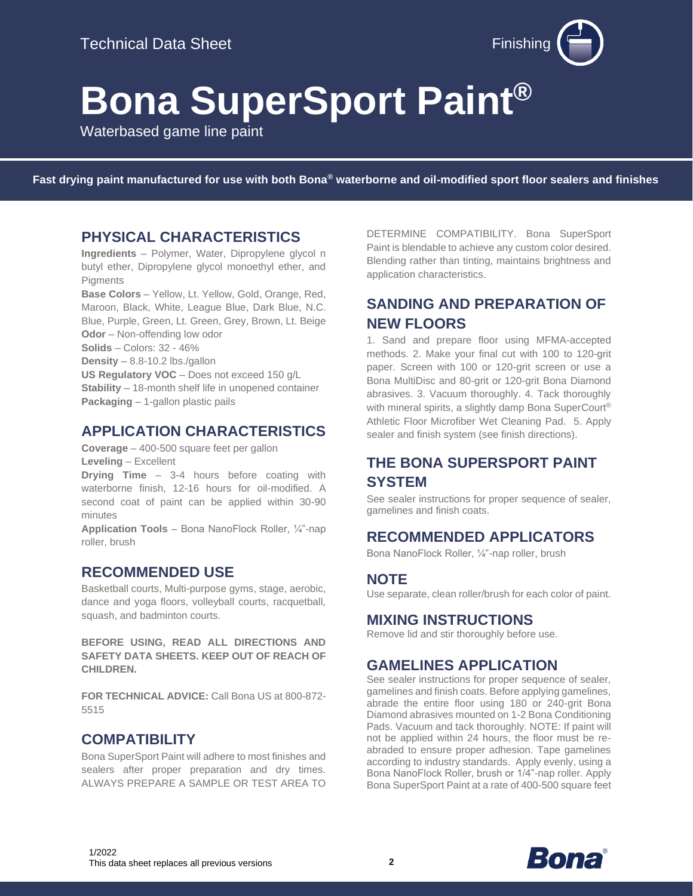

# **Bona SuperSport Paint®**

Waterbased game line paint

**Fast drying paint manufactured for use with both Bona® waterborne and oil-modified sport floor sealers and finishes**

#### **PHYSICAL CHARACTERISTICS**

**Ingredients** – Polymer, Water, Dipropylene glycol n butyl ether, Dipropylene glycol monoethyl ether, and Pigments

**Base Colors** – Yellow, Lt. Yellow, Gold, Orange, Red, Maroon, Black, White, League Blue, Dark Blue, N.C. Blue, Purple, Green, Lt. Green, Grey, Brown, Lt. Beige **Odor** – Non-offending low odor **Solids** – Colors: 32 - 46% **Density** – 8.8-10.2 lbs./gallon **US Regulatory VOC** – Does not exceed 150 g/L **Stability** – 18-month shelf life in unopened container **Packaging** – 1-gallon plastic pails

### **APPLICATION CHARACTERISTICS**

**Coverage** – 400-500 square feet per gallon **Leveling** – Excellent

**Drying Time** – 3-4 hours before coating with waterborne finish, 12-16 hours for oil-modified. A second coat of paint can be applied within 30-90 minutes

**Application Tools** – Bona NanoFlock Roller, ¼"-nap roller, brush

#### **RECOMMENDED USE**

Basketball courts, Multi-purpose gyms, stage, aerobic, dance and yoga floors, volleyball courts, racquetball, squash, and badminton courts.

**BEFORE USING, READ ALL DIRECTIONS AND SAFETY DATA SHEETS. KEEP OUT OF REACH OF CHILDREN.** 

**FOR TECHNICAL ADVICE:** Call Bona US at 800-872- 5515

#### **COMPATIBILITY**

Bona SuperSport Paint will adhere to most finishes and sealers after proper preparation and dry times. ALWAYS PREPARE A SAMPLE OR TEST AREA TO DETERMINE COMPATIBILITY. Bona SuperSport Paint is blendable to achieve any custom color desired. Blending rather than tinting, maintains brightness and application characteristics.

## **SANDING AND PREPARATION OF NEW FLOORS**

1. Sand and prepare floor using MFMA-accepted methods. 2. Make your final cut with 100 to 120-grit paper. Screen with 100 or 120-grit screen or use a Bona MultiDisc and 80-grit or 120-grit Bona Diamond abrasives. 3. Vacuum thoroughly. 4. Tack thoroughly with mineral spirits, a slightly damp Bona SuperCourt<sup>®</sup> Athletic Floor Microfiber Wet Cleaning Pad. 5. Apply sealer and finish system (see finish directions).

## **THE BONA SUPERSPORT PAINT SYSTEM**

See sealer instructions for proper sequence of sealer, gamelines and finish coats.

#### **RECOMMENDED APPLICATORS**

Bona NanoFlock Roller, ¼"-nap roller, brush

#### **NOTE**

Use separate, clean roller/brush for each color of paint.

#### **MIXING INSTRUCTIONS**

Remove lid and stir thoroughly before use.

## **GAMELINES APPLICATION**

See sealer instructions for proper sequence of sealer, gamelines and finish coats. Before applying gamelines, abrade the entire floor using 180 or 240-grit Bona Diamond abrasives mounted on 1-2 Bona Conditioning Pads. Vacuum and tack thoroughly. NOTE: If paint will not be applied within 24 hours, the floor must be reabraded to ensure proper adhesion. Tape gamelines according to industry standards. Apply evenly, using a Bona NanoFlock Roller, brush or 1/4"-nap roller. Apply Bona SuperSport Paint at a rate of 400-500 square feet